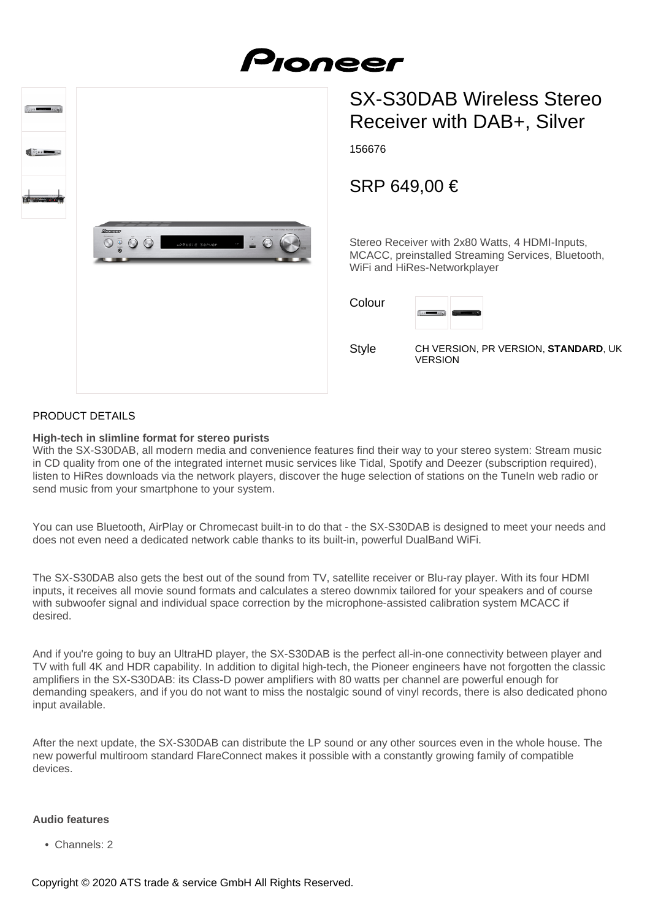



# SX-S30DAB Wireless Stereo Receiver with DAB+, Silver

156676

## SRP 649,00 €

Stereo Receiver with 2x80 Watts, 4 HDMI-Inputs, MCACC, preinstalled Streaming Services, Bluetooth, WiFi and HiRes-Networkplayer

| Colour |  |
|--------|--|
|        |  |

Style

CH VERSION, PR VERSION, **STANDARD**, UK **VERSION** 

#### PRODUCT DETAILS

#### **High-tech in slimline format for stereo purists**

With the SX-S30DAB, all modern media and convenience features find their way to your stereo system: Stream music in CD quality from one of the integrated internet music services like Tidal, Spotify and Deezer (subscription required), listen to HiRes downloads via the network players, discover the huge selection of stations on the TuneIn web radio or send music from your smartphone to your system.

You can use Bluetooth, AirPlay or Chromecast built-in to do that - the SX-S30DAB is designed to meet your needs and does not even need a dedicated network cable thanks to its built-in, powerful DualBand WiFi.

The SX-S30DAB also gets the best out of the sound from TV, satellite receiver or Blu-ray player. With its four HDMI inputs, it receives all movie sound formats and calculates a stereo downmix tailored for your speakers and of course with subwoofer signal and individual space correction by the microphone-assisted calibration system MCACC if desired.

And if you're going to buy an UltraHD player, the SX-S30DAB is the perfect all-in-one connectivity between player and TV with full 4K and HDR capability. In addition to digital high-tech, the Pioneer engineers have not forgotten the classic amplifiers in the SX-S30DAB: its Class-D power amplifiers with 80 watts per channel are powerful enough for demanding speakers, and if you do not want to miss the nostalgic sound of vinyl records, there is also dedicated phono input available.

After the next update, the SX-S30DAB can distribute the LP sound or any other sources even in the whole house. The new powerful multiroom standard FlareConnect makes it possible with a constantly growing family of compatible devices.

#### **Audio features**

• Channels: 2

Copyright © 2020 ATS trade & service GmbH All Rights Reserved.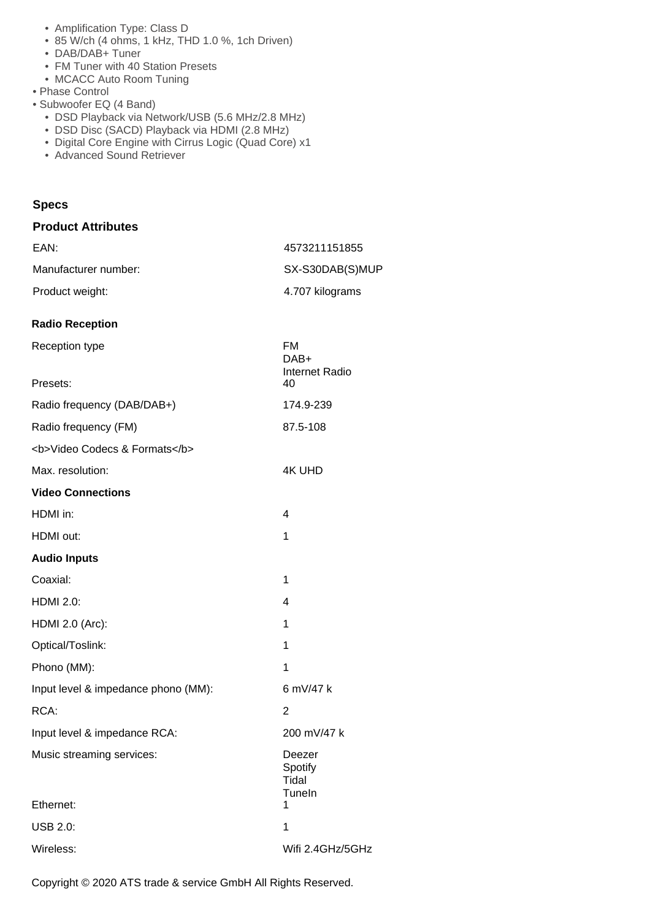- Amplification Type: Class D
- 85 W/ch (4 ohms, 1 kHz, THD 1.0 %, 1ch Driven)
- DAB/DAB+ Tuner
- FM Tuner with 40 Station Presets
- MCACC Auto Room Tuning
- Phase Control
- Subwoofer EQ (4 Band)
	- DSD Playback via Network/USB (5.6 MHz/2.8 MHz)
	- DSD Disc (SACD) Playback via HDMI (2.8 MHz)
	- Digital Core Engine with Cirrus Logic (Quad Core) x1
	- Advanced Sound Retriever

#### **Specs**

#### **Product Attributes**

| EAN:                 | 4573211151855   |
|----------------------|-----------------|
| Manufacturer number: | SX-S30DAB(S)MUP |
| Product weight:      | 4.707 kilograms |

#### **Radio Reception**

| Reception type<br>Presets:             | <b>FM</b><br>DAB+<br><b>Internet Radio</b><br>40 |
|----------------------------------------|--------------------------------------------------|
| Radio frequency (DAB/DAB+)             | 174.9-239                                        |
| Radio frequency (FM)                   | 87.5-108                                         |
| <b>Video Codecs &amp; Formats</b>      |                                                  |
| Max. resolution:                       | <b>4K UHD</b>                                    |
| <b>Video Connections</b>               |                                                  |
| HDMI in:                               | 4                                                |
| HDMI out:                              | 1                                                |
| <b>Audio Inputs</b>                    |                                                  |
| Coaxial:                               | 1                                                |
| <b>HDMI 2.0:</b>                       | 4                                                |
| HDMI 2.0 (Arc):                        | 1                                                |
| Optical/Toslink:                       | 1                                                |
| Phono (MM):                            | 1                                                |
| Input level & impedance phono (MM):    | 6 mV/47 k                                        |
| RCA:                                   | $\overline{2}$                                   |
| Input level & impedance RCA:           | 200 mV/47 k                                      |
| Music streaming services:<br>Ethernet: | Deezer<br>Spotify<br>Tidal<br>TuneIn<br>1        |
| <b>USB 2.0:</b>                        | 1                                                |
| Wireless:                              | Wifi 2.4GHz/5GHz                                 |
|                                        |                                                  |

Copyright © 2020 ATS trade & service GmbH All Rights Reserved.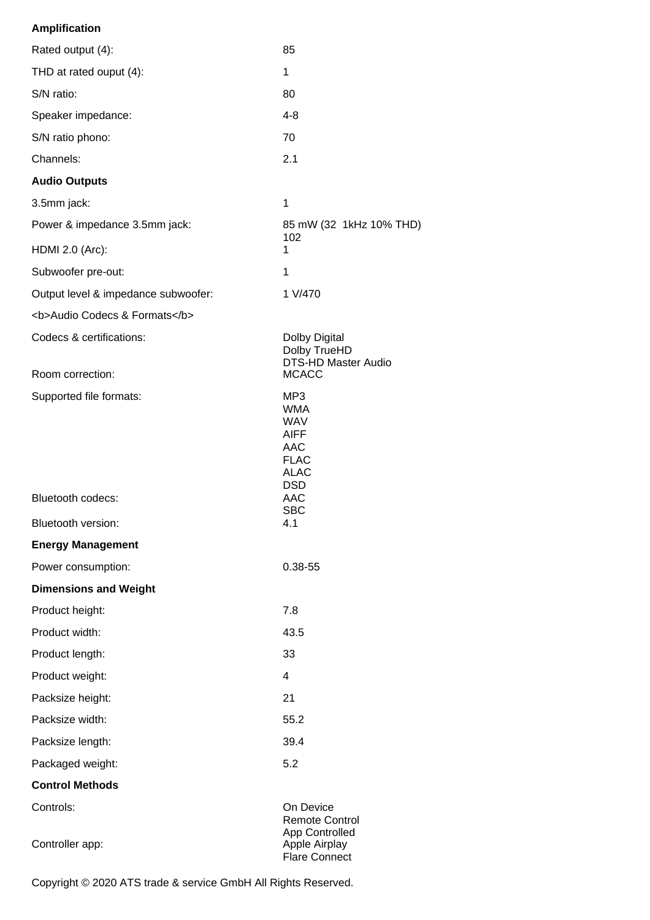### **Amplification**

| Rated output (4):                   | 85                                                                                         |
|-------------------------------------|--------------------------------------------------------------------------------------------|
| THD at rated ouput (4):             | 1                                                                                          |
| S/N ratio:                          | 80                                                                                         |
| Speaker impedance:                  | $4 - 8$                                                                                    |
| S/N ratio phono:                    | 70                                                                                         |
| Channels:                           | 2.1                                                                                        |
| <b>Audio Outputs</b>                |                                                                                            |
| 3.5mm jack:                         | 1                                                                                          |
| Power & impedance 3.5mm jack:       | 85 mW (32 1kHz 10% THD)                                                                    |
| <b>HDMI 2.0 (Arc):</b>              | 102<br>1                                                                                   |
| Subwoofer pre-out:                  | 1                                                                                          |
| Output level & impedance subwoofer: | 1 V/470                                                                                    |
| <b>Audio Codecs &amp; Formats</b>   |                                                                                            |
| Codecs & certifications:            | Dolby Digital<br>Dolby TrueHD<br><b>DTS-HD Master Audio</b>                                |
| Room correction:                    | <b>MCACC</b><br>MP3                                                                        |
| Supported file formats:             | <b>WMA</b><br><b>WAV</b><br><b>AIFF</b><br>AAC<br><b>FLAC</b><br><b>ALAC</b><br><b>DSD</b> |
| Bluetooth codecs:                   | <b>AAC</b><br><b>SBC</b>                                                                   |
| Bluetooth version:                  | 4.1                                                                                        |
| <b>Energy Management</b>            |                                                                                            |
| Power consumption:                  | 0.38-55                                                                                    |
| <b>Dimensions and Weight</b>        |                                                                                            |
| Product height:                     | 7.8                                                                                        |
| Product width:                      | 43.5                                                                                       |
| Product length:                     | 33                                                                                         |
| Product weight:                     | $\overline{4}$                                                                             |
| Packsize height:                    | 21                                                                                         |
| Packsize width:                     | 55.2                                                                                       |
| Packsize length:                    | 39.4                                                                                       |
| Packaged weight:                    | 5.2                                                                                        |
| <b>Control Methods</b>              |                                                                                            |
| Controls:                           | On Device<br><b>Remote Control</b><br>App Controlled                                       |
| Controller app:                     | Apple Airplay<br><b>Flare Connect</b>                                                      |

Copyright © 2020 ATS trade & service GmbH All Rights Reserved.